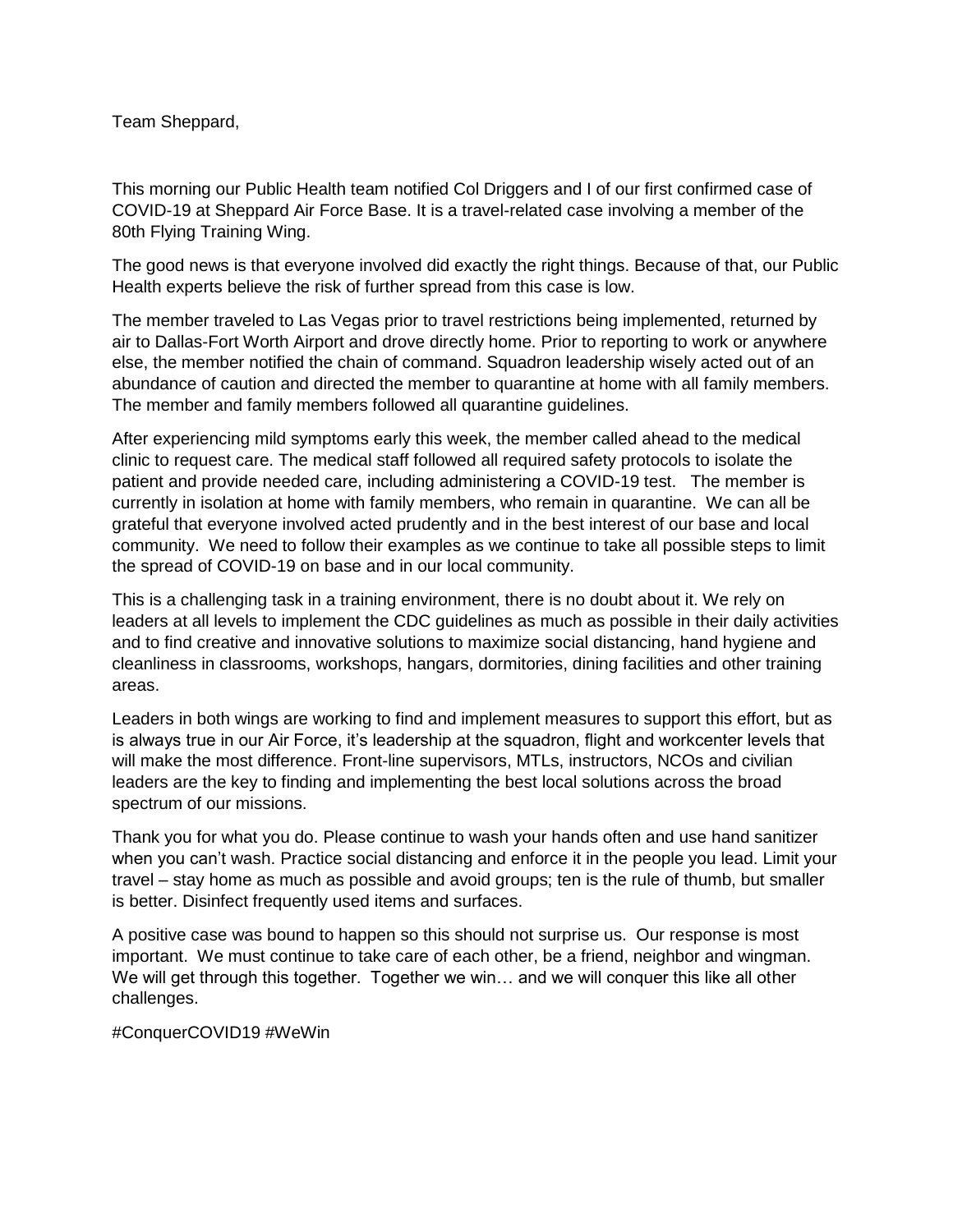Team Sheppard,

This morning our Public Health team notified Col Driggers and I of our first confirmed case of COVID-19 at Sheppard Air Force Base. It is a travel-related case involving a member of the 80th Flying Training Wing.

The good news is that everyone involved did exactly the right things. Because of that, our Public Health experts believe the risk of further spread from this case is low.

The member traveled to Las Vegas prior to travel restrictions being implemented, returned by air to Dallas-Fort Worth Airport and drove directly home. Prior to reporting to work or anywhere else, the member notified the chain of command. Squadron leadership wisely acted out of an abundance of caution and directed the member to quarantine at home with all family members. The member and family members followed all quarantine guidelines.

After experiencing mild symptoms early this week, the member called ahead to the medical clinic to request care. The medical staff followed all required safety protocols to isolate the patient and provide needed care, including administering a COVID-19 test. The member is currently in isolation at home with family members, who remain in quarantine. We can all be grateful that everyone involved acted prudently and in the best interest of our base and local community. We need to follow their examples as we continue to take all possible steps to limit the spread of COVID-19 on base and in our local community.

This is a challenging task in a training environment, there is no doubt about it. We rely on leaders at all levels to implement the CDC guidelines as much as possible in their daily activities and to find creative and innovative solutions to maximize social distancing, hand hygiene and cleanliness in classrooms, workshops, hangars, dormitories, dining facilities and other training areas.

Leaders in both wings are working to find and implement measures to support this effort, but as is always true in our Air Force, it's leadership at the squadron, flight and workcenter levels that will make the most difference. Front-line supervisors, MTLs, instructors, NCOs and civilian leaders are the key to finding and implementing the best local solutions across the broad spectrum of our missions.

Thank you for what you do. Please continue to wash your hands often and use hand sanitizer when you can't wash. Practice social distancing and enforce it in the people you lead. Limit your travel – stay home as much as possible and avoid groups; ten is the rule of thumb, but smaller is better. Disinfect frequently used items and surfaces.

A positive case was bound to happen so this should not surprise us. Our response is most important. We must continue to take care of each other, be a friend, neighbor and wingman. We will get through this together. Together we win... and we will conquer this like all other challenges.

#ConquerCOVID19 #WeWin